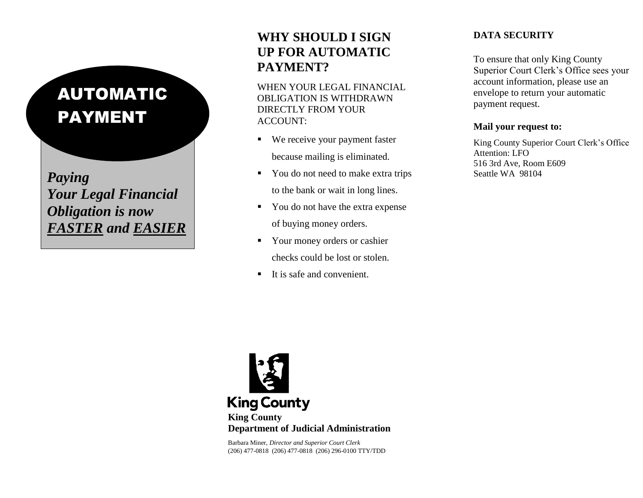# AUTOMATIC PAYMENT

*Your Legal Financial Obligation is now FASTER and EASIER*

# **WHY SHOULD I SIGN UP FOR AUTOMATIC PAYMENT?**

WHEN YOUR LEGAL FINANCIAL OBLIGATION IS WITHDRAWN DIRECTLY FROM YOUR ACCOUNT:

- We receive your payment faster because mailing is eliminated.
- **Paying** Seattle WA 98104 to the bank or wait in long lines.
	- You do not have the extra expense of buying money orders.
	- Your money orders or cashier checks could be lost or stolen.
	- $\blacksquare$  It is safe and convenient.

## **DATA SECURITY**

To ensure that only King County Superior Court Clerk's Office sees your account information, please use an envelope to return your automatic payment request.

#### **Mail your request to:**

King County Superior Court Clerk's Office Attention: LFO 516 3rd Ave, Room E609



Barbara Miner, *Director and Superior Court Clerk* (206) 477-0818 (206) 477-0818 (206) 296-0100 TTY/TDD